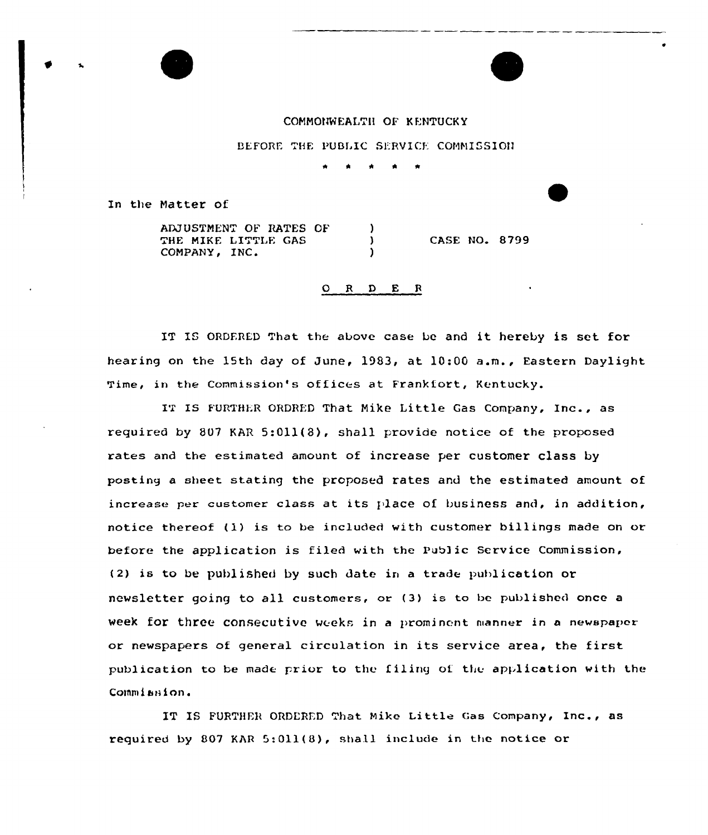COMMONWEALTH OF KENTUCKY

BEFORE THE PUBLIC SERVICE COMMISSION

In the Matter of

ADJVSTNENT OF BATES OF THE MIKE LITTLE GAS<br>COMPANY, INC. Matter of<br>ADJUSTMENT OF RATES OF )<br>THE MIKE LITTLE GAS ) CASE NO. 8799<br>COMPANY, INC. )

Q R D E R

IT IS ORDERED That the above case be and it hereby is set for hearing on the 15th day of June, 1983, at 10:00 a.m., Eastern Daylight Time, in the Commission's offices at Frankfort, Kentucky.

IT IS FURTHER ORDRED That Mike Little Gas Company, Inc., as required by 807 KAR 5:011(8), shall provide notice of the proposed rates and the estimated amount of increase per customer class by posting a sheet stating the proposed rates and the estimated amount of increase per customer class at its place of business and, in addition, notice thereof (1) is to be included with customer billings made on or before the application is filed with the Public Service Commission, (2) is to be published by such date in a trade publication or newsletter going to all customers, or (3) is to be published once <sup>a</sup> week for three consecutive weeks in a prominent manner in a newspaper or newspapers of general circulation in its service area, the first publication to be made prior to the filing of the application with the Commission.

IT IS FURTHER ORDERED That Mike Little Gas Company, Inc., as required by 807 KAR  $5:011(8)$ , shall include in the notice or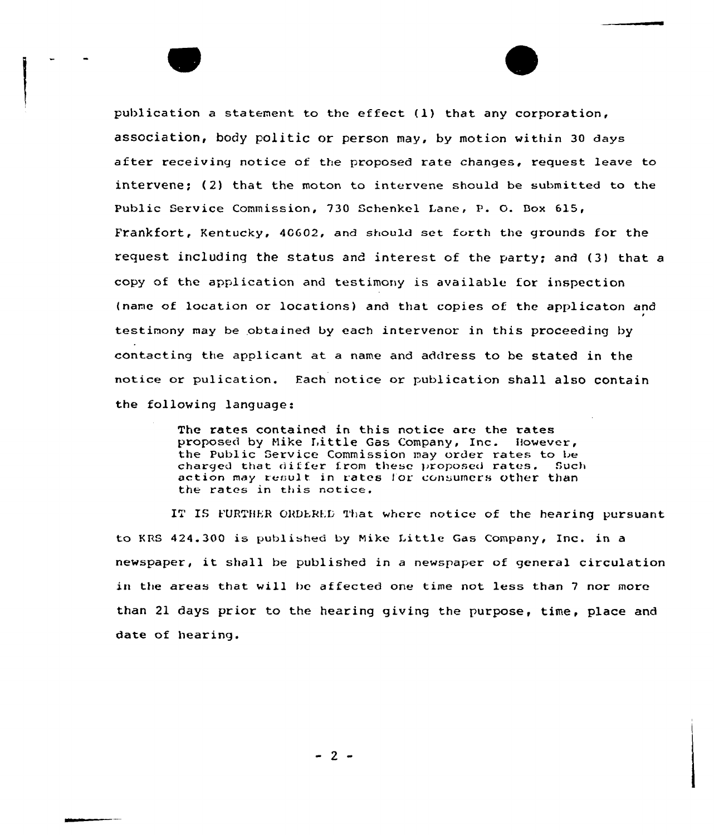publication a statement to the effect  $(1)$  that any corporation, association, body politic or person may, by motion within 30 days after receiving notice af the proposed rate changes, request leave ta intervene; (2) that the moton to intervene should be submitted to the Public Service Commission, 730 Schenkel Lane, P. O. Box 615, Frankfort, Kentucky, 4GG02, and should set forth the grounds for the request including the status and interest of the party; and (3) that a copy of the application and testimony is available for inspection (name of location or locations) and that copies of the applicaton and testimony may be obtained by each intervenor in this proceeding by contacting the applicant at a name and address to be stated in the notice or pulication. Each notice or publication shall also contain the following language:

> The rates contained in this notice are the rates proposed by Hike T,ittle Gas Company, Inc. However, the Public Service Commission may order rates to be charged that differ from these proposed rates. Such action may result in rates for consumers other than the rates in this notice.

IT IS FURTHER ORDERED That where notice of the hearing pursuant to KBS 424.300 is published by Nike Little Gas Company, Inc. in <sup>a</sup> newspaper, it shall be published in <sup>a</sup> newspaper of general circulation in the areas that will be affected one time not less than <sup>7</sup> nor more than 21 days prior to the hearing giving the purpose, time, place and date of hearing.

 $-2-$